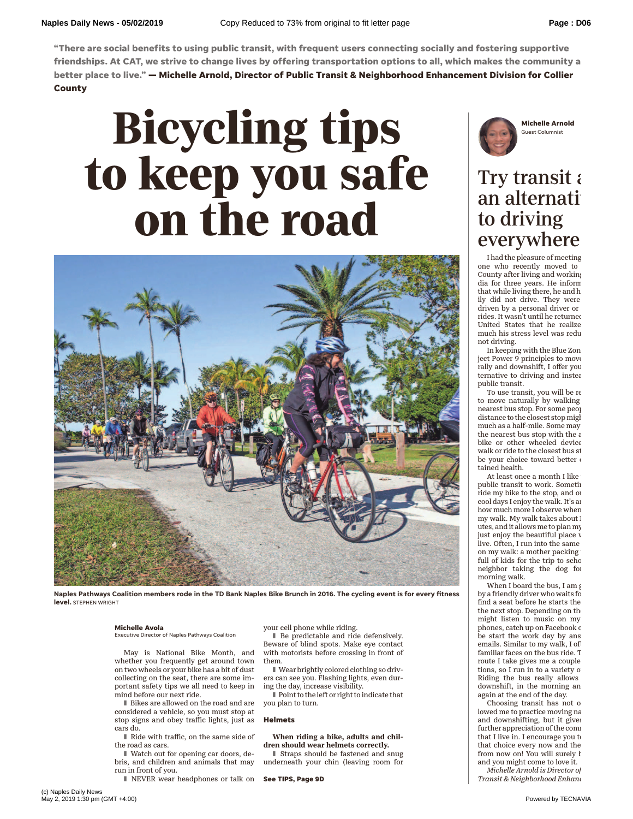**"There are social benefits to using public transit, with frequent users connecting socially and fostering supportive friendships. At CAT, we strive to change lives by offering transportation options to all, which makes the community a better place to live." — Michelle Arnold, Director of Public Transit & Neighborhood Enhancement Division for Collier County**

# **Bicycling tips to keep you safe on the road**



**Naples Pathways Coalition members rode in the TD Bank Naples Bike Brunch in 2016. The cycling event is for every fitness level.** STEPHEN WRIGHT

### **Michelle Avola**

Executive Director of Naples Pathways Coalition

May is National Bike Month, and whether you frequently get around town on two wheels or your bike has a bit of dust collecting on the seat, there are some important safety tips we all need to keep in mind before our next ride.

■ Bikes are allowed on the road and are considered a vehicle, so you must stop at stop signs and obey traffic lights, just as cars do.

■ Ride with traffic, on the same side of the road as cars.

■ Watch out for opening car doors, debris, and children and animals that may run in front of you.

❚ NEVER wear headphones or talk on **See TIPS, Page 9D**

your cell phone while riding.

■ Be predictable and ride defensively. Beware of blind spots. Make eye contact with motorists before crossing in front of them.

❚ Wear brightly colored clothing so drivers can see you. Flashing lights, even during the day, increase visibility.

❚ Point to the left or right to indicate that you plan to turn.

#### **Helmets**

When riding a bike, adults and children should wear helmets correctly.

■ Straps should be fastened and snug underneath your chin (leaving room for



### Try transit  $\epsilon$ an alternati to driving everywhere

I had the pleasure of meeting one who recently moved to County after living and working dia for three years. He inform that while living there, he and h ily did not drive. They were driven by a personal driver or rides. It wasn't until he returned United States that he realize much his stress level was redu not driving.

In keeping with the Blue Zon ject Power 9 principles to move rally and downshift, I offer you ternative to driving and instead public transit.

To use transit, you will be re to move naturally by walking nearest bus stop. For some peop distance to the closest stop migl much as a half-mile. Some may the nearest bus stop with the  $\varepsilon$ bike or other wheeled device walk or ride to the closest bus st be your choice toward better or tained health.

At least once a month I like public transit to work. Sometin ride my bike to the stop, and on cool days I enjoy the walk. It's an how much more I observe when my walk. My walk takes about 1 utes, and it allows me to plan my just enjoy the beautiful place v live. Often, I run into the same on my walk: a mother packing full of kids for the trip to scho neighbor taking the dog for morning walk.

When I board the bus, I am  $\epsilon$ by a friendly driver who waits fo find a seat before he starts the the next stop. Depending on the might listen to music on my phones, catch up on Facebook c be start the work day by ans emails. Similar to my walk, I of familiar faces on the bus ride. T route I take gives me a couple tions, so I run in to a variety of Riding the bus really allows downshift, in the morning an again at the end of the day.

Choosing transit has not o lowed me to practice moving na and downshifting, but it gives further appreciation of the comm that I live in. I encourage you to that choice every now and the from now on! You will surely  $k$ and you might come to love it.

 $Michelle Arnold$  *is Director of*  $Transit$  & Neighborhood Enhand